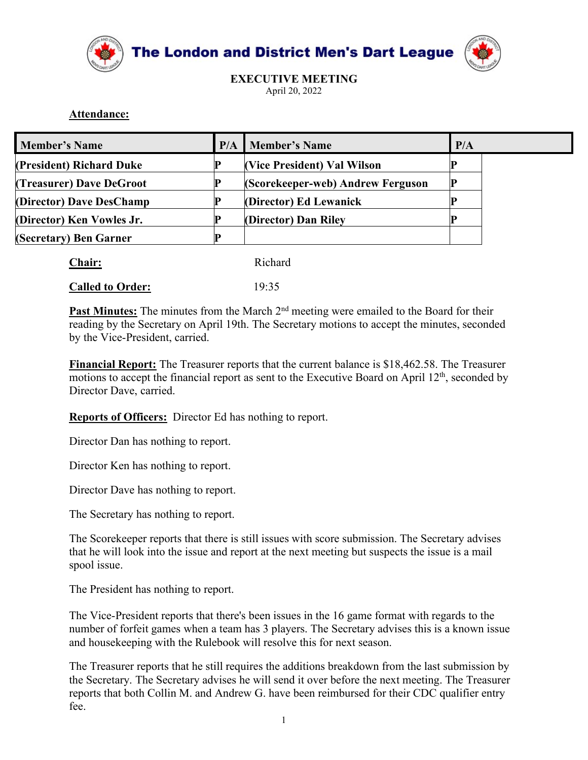



## Attendance:

|                      |                                                         |     | The London and District Men's Dart League                                                                                                                                                                       |     |
|----------------------|---------------------------------------------------------|-----|-----------------------------------------------------------------------------------------------------------------------------------------------------------------------------------------------------------------|-----|
|                      | Attendance:                                             |     | <b>EXECUTIVE MEETING</b><br>April 20, 2022                                                                                                                                                                      |     |
| <b>Member's Name</b> |                                                         | P/A | <b>Member's Name</b>                                                                                                                                                                                            | P/A |
|                      | <b>President) Richard Duke</b>                          | P   | (Vice President) Val Wilson                                                                                                                                                                                     | P   |
|                      | <b>Treasurer) Dave DeGroot</b>                          | P.  | (Scorekeeper-web) Andrew Ferguson                                                                                                                                                                               | P.  |
|                      | <b>(Director) Dave DesChamp</b>                         | P   | (Director) Ed Lewanick                                                                                                                                                                                          | P.  |
|                      | Director) Ken Vowles Jr.                                | P   | (Director) Dan Riley                                                                                                                                                                                            | P   |
|                      | (Secretary) Ben Garner                                  | P.  |                                                                                                                                                                                                                 |     |
|                      | Chair:                                                  |     | Richard                                                                                                                                                                                                         |     |
|                      | <b>Called to Order:</b>                                 |     | 19:35                                                                                                                                                                                                           |     |
|                      | by the Vice-President, carried.                         |     | Past Minutes: The minutes from the March 2 <sup>nd</sup> meeting were emailed to the Board for their<br>reading by the Secretary on April 19th. The Secretary motions to accept the minutes, seconded           |     |
|                      | Director Dave, carried.                                 |     | Financial Report: The Treasurer reports that the current balance is \$18,462.58. The Treasurer<br>motions to accept the financial report as sent to the Executive Board on April 12 <sup>th</sup> , seconded by |     |
|                      | Reports of Officers: Director Ed has nothing to report. |     |                                                                                                                                                                                                                 |     |
|                      | Director Dan has nothing to report.                     |     |                                                                                                                                                                                                                 |     |
|                      | Director Ken has nothing to report.                     |     |                                                                                                                                                                                                                 |     |
|                      | Director Dave has nothing to report.                    |     |                                                                                                                                                                                                                 |     |
|                      | The Secretary has nothing to report.                    |     |                                                                                                                                                                                                                 |     |
|                      |                                                         |     |                                                                                                                                                                                                                 |     |

| <b>Chair:</b>           | Richard |  |
|-------------------------|---------|--|
| <b>Called to Order:</b> | 19:35   |  |

**Chair:** Reserved Mathematics Chain and Mathematics Chains Chains Chains Chains Chains Called to Order: 19:35<br> **Past Minutes:** The minutes from the March 2<sup>nd</sup> meeting were emailed to the Board for their reading by the Se Figure 10.1335<br> **Called to Order:** 19:35<br> **Past Minutes:** The minutes from the March 2<sup>nd</sup> meeting were emailed to the Board for their<br>
reading by the Secretary on April 19th. The Secretary motions to accept the minutes, Exame of the Scorekeeper reports that there is still issues with score submission. The Secretary on April 19th. The Secretary motions to accept the minutes, seconded by the Vice-President, carried.<br> **Financial Report:** The **Past Minutes:** The minutes from the March 2<sup>nd</sup> meeting were emailed to the Board for their reading by the Vice-President, carried.<br>
by the Vice-President, carried.<br> **Financial Report:** The Treasurer reports that the curr reading by the Secretary on April 19th. The Secretary motions to accept th<br>by the Vice-President, carried.<br> **Einancial Report:** The Treasurer reports that the current balance is \$18,40<br>
motions to accept the financial repo Financial Report:<br>
Financial Report: The Treasurer reports that the current balance is \$18,462.58. The Treasurer<br>
motions to accept the financial report as sent to the Executive Board on April 12<sup>th</sup>, seconded by<br>
Director

**Example 12** and the Theorian in the Vice-President reports that the example and the Executive Board on April 12<sup>n</sup>, seconded by<br>Director Dave, carried.<br> **Reports of Officers:** Director Ed has nothing to report.<br>
Director number of a team has nothing to report and the mean has nothing to report.<br>
Director Dave, carried.<br>
Director Dan has nothing to report.<br>
Director Dan has nothing to report.<br>
The Secretary has nothing to report.<br>
The Secre

**Reports of Officers:** Director Ed has nothing to report.<br>
Director Dan has nothing to report.<br>
Director Dan has nothing to report.<br>
The Secretary has nothing to report.<br>
The Secretary has nothing to report.<br>
The Secretary **Explores of Ordiness** Director Ed rats nothing to report.<br>
Director Dan has nothing to report.<br>
Director Dave has nothing to report.<br>
The Secretary has nothing to report.<br>
The Secretary has nothing to report.<br>
The Secreta Director Dan has nothing to report.<br>
Director Ken has nothing to report.<br>
The Secretary has nothing to report.<br>
The Scorekeeper reports that there is still issues with score submission. The Secretary advises<br>
that he will Director Oals has nothing to report.<br>
The Secretary has nothing to report.<br>
The Secretary has nothing to report.<br>
The Secretary has nothing to report.<br>
The Coreckceper reports that there is still issues with score submissi fee.